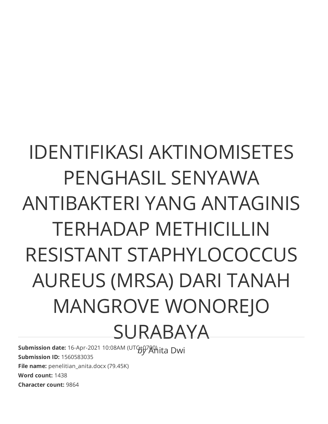# IDENTIFIKASI AKTINOMISETES PENGHASIL SENYAWA ANTIBAKTERI YANG ANTAGINIS TERHADAP METHICILLIN RESISTANT STAPHYLOCOCCUS AUREUS (MRSA) DARI TANAH MANGROVE WONOREJO SURABAYA

**Submission date:** 16-Apr-2021 10:08AM (UTG+07APhita Dwi **Submission ID:** 1560583035 **File name:** penelitian anita.docx (79.45K) **Word count:** 1438 **Character count:** 9864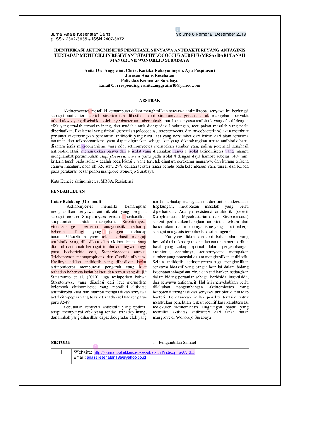Jurnal Analis Kesehatan Sains p ISSN 2302-3635 e ISSN 2407-8972 Volume 8 Nomor 2. Desember 2019

#### **IDENTIFIKASI AKTINOMISETES PENGHASIL SENYAWA ANTIBAKTERI YANG ANTAGINIS** TERHADAP METHICILLIN RESISTANT STAPHYLOCOCCUS AUREUS (MRSA) DARI TANAH MANGROVE WONOREJO SURABAYA

Anita Dwi Anggraini, Christ Kartika Rahayuningsih, Ayu Puspitasari Jurusan Analis Kesehatan Poltekkes Kemenkes Surabaya Email Corresponding: anita.anggraini40@yahoo.com

#### **ABSTRAK**

Aktinomycetes memiliki kemampuan dalam menghasilkan senyawa antimikroba, senyawa ini berfungsi sebagai antibakteri contoh streptomisin dihasilkan dari streptomyces griseus untuk mengobati penyakit tuberkulosis yang disebabkan oleh mycobacterium tuberculosis ebutuhan senyawa antibiotik yang efektif dengan efek yang rendah terhadap inang, dan mudah untuk didegradasi lingkungan, merupakan masalah yang perlu diperhatikan. Resistensi yang timbul (seperti stapylococcus, "streptococcus, dan mycobacterium) akan membuat perlunya dikembangkan penemuan antibiotik yang baru. Zat yang bersumber dari bahan dari alam terutama tanaman dan mikroorganisme yang dapat digunakan sebagai zat yang dikembangkan untuk antibiotik baru, diantara jenis mikroorganisme vang ada, actinomycetes merupakan sumber vang paling potensial penghasil antibiotik. Hasil menunjukkan bahwa dari 9 isolat yang digunakan hanya 1 isolat aktinomisetes yang mampu menghambat pertumbuhan staphylococcus aureus yaitu pada isolat 4 dengan daya hambat sebesar 14,4 mm. kriteria tanah pada isolat 4 adalah pada lokasi c yang terletak diantara perakaran mangrove dan kurang terkena cahaya matahari, pada ph 6,5, suhu 29°c dengan tekstur tanah berada pada kelembapan yang tinggi dan berada pada perakaran besar pohon mangrove wonorejo Surabaya

Kata Kunci: aktinomisetes, MRSA, Resistensi

#### **PENDAHULUAN**

#### **Latar Belakang (Opsional)**

Aktinomycetes memiliki kemampuan menghasilkan senyawa antimikrobi yang berguna sebagai contoh Streptomyces griseus menhasilkan streptomisin untuk mengobati. Streptomyces violaceusniger berperan antagonistik terhadap fungi beberapa yang 1 patogen terhadap tanaman<sup>1</sup>.Penelitian yang telah berhasil menguji antibiotik yang dihasilkan oleh aktinomicetes yang diambil dari tanah berbagai tumbuhan tingkat tinggi pada Escherichia coli, Staphylococcus aureus, Trichophyton mentagrophytes, dan Candida albicans. Hasilnya adalah antibiotik yang dihasilkan isolat aktinomicetes mempunyai pengaruh yang kuat terhadap beberapa isolat bakteri dan jamur yang diuji.<sup>2</sup> Sunaryanto et al. (2010) juga melaporkan bahwa Streptomyces yang diisolasi dari laut merupakan kelompok aktinomisetes yang memiliki aktivitas antimikroba kuat dan mampu menghasilkan senyawa aktif citropeptin yang toksik terhadap sel kanker paruparu A549.

Kebutuhan senyawa antibiotik yang optimal tetapi mempunyai efek yang rendah terhadap inang, dan limbah yang dihasilkan dapat didegradas efek yang

rendah terhadap inang, dan mudah untuk didegradasi lingkungan, merupakan masalah yang perlu<br>diperhatikan. Adanya resistensi antibiotik (seperti Stapylococcus, Mycobacterium, dan Streptococcus) sangat perlu dikembangkan antibiotik terbaru dari bahan alami dan mikroorganisme yang dapat bekerja sebagai antagonis terhadap bakteri patogen<sup>3</sup>.

Zat yang didapatkan dari bahan alam yang berasal dari mikroorganisme dan tanaman memberikan hasil yang cukup optimal dalam pengembangan antibiotik, contohnya, actinomycetes merupakan sumber yang potensial dalam menghasilkan antibiotik. Selain antibiotik, actinomycetes juga menghasilkan senyawa bioaktif yang sangat bernilai dalam bidang kesehatan sebagai antivirus dan anti kanker, sedangkan dalam bidang pertanian sebagai herbisida, insektisida, dan senyawa antiparasit. Hal ini menyebabkan perlu dilakukan pengembangan aktinomicetes yang berpotensi menghasilkan senyawa antibiotik terhadap bakteri. Berdasarkan inilah peneliti tertarik untuk melakukan penelitian terkait identifikasi karakterisasi molekuler aktinomicetes lingkungan payau yang memiliki aktivitas antibakteri dari tanah hutan mangrove di Wonorejo Surabaya

### **METODE**

1. Pengambilan Sampel

1

Website: http://journal.poltekkesdepkes-sby.ac.id/index.php/ANKES Email: analiskesehatan18a@yahoo.co.id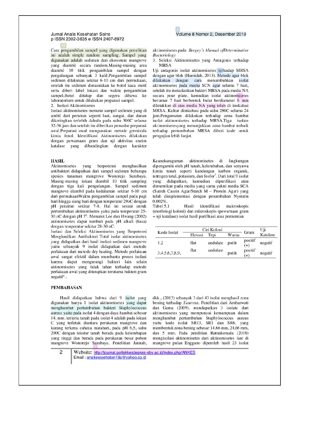#### Jurnal Analis Kesehatan Sains p ISSN 2302-3635 e ISSN 2407-8972

Cara pengambilan sampel yang digunakan penelitian ini adalah simple random sampling. Sampel yang digunakan adalah sedimen dari ekosistem mangrove yang diambil secara random.Masing-masing area diambil 10 titik pengambilan sampel dengan pengulangan sebanyak  $\overline{3}$  kalil. Pengambilan sampel sedimen dilakukan sekitar 6-10 cm dari permukaan, setelah itu sedimen dimasukkan ke botol kaca steril serta diberi label lokasi dan waktu pengambilan sampel.Botol ditutup dan segera dibawa ke laboratorium untuk dilakukan preparasi sampel.

2. Isolasi Aktinomisetes

Isolasi aktinomisetes menurut sampel sedimen yang di ambil dari perairan seperti laut, sungai, dan danau dikeringkan terlebih dahulu pada suhu 300C selama 32-36 jam dan setelah itu diberikan prosedur preparasi awal.Preparasi awal mengunakan metode germisida kimia fenol. Identifikasi Aktinomisetes dilakukan dengan pewarnaan gram dan uji aktivitas enzim katalase yang dibandingkan dengan karakter

#### **HASIL**

Aktinomisetes yang berpotensi menghasilkan antibakteri didapatkan dari sampel sedimen beberapa spesies tanaman mangrove Wonorejo Surabaya. Masing-masing lokasi diambil 10 titik sampling dengan tiga kali pengulangan. Sampel sedimen mangrove diambil pada kedalaman sekitar 6-10 cm dari permukaanWaktu pengambilan sampel pada pagi hari hingga siang hari dengan temperatur 29oC dengan pH perairan sekitar 7-8. Hal ini sesuai untuk pertumbuhan aktinomisetes yaitu pada temperatur 25-30 oC dengan pH 7<sup>5</sup>. Menurut Lee dan Hwang (2002) aktinomisetes dapat tumbuh pada pH alkali (basa) dengan temperatur sekitar 28-30 oC.

Isolasi dan Seleksi Aktinomisetes yang Berpotensi Menghasilkan Antibakteri Total isolat aktinomisetes yang didapatkan dari hasil isolasi sedimen mangrove yaitu sebanyak 9 isolat didapatkan dari metode perlakuan dari metode dry heating. Metode perlakuan awal sangat efektif dalam membantu proses isolasi karena dapat mengurangi bakteri lain selain aktinomisetes yang tidak tahan terhadap metode perlakuan awal yang diterapkan terutama bakteri gram negatif<sup>6</sup>...

#### **PEMBAHASAN**

Hasil didapatkan bahwa dari 9 isolat yang digunakan hanya 1 isolat aktinomisetes yang dapat menghambat pertumbuhan bakteri Staphylococcus aureus yaitu pada isolat 4 dengan daya hambat sebesar 14. mm. kriteria tanah pada isolat 4 adalah pada lokasi C yang terletak diantara perakaran mangrove dan kurang terkena cahaya matahari, pada pH 6,5, suhu 290C dengan tekstur tanah berada pada kelembapan yang tinggi dan berada pada perakaran besar pohon mangrove Wonorejo Surabaya. Penelitian Jannah,

bening terhadap S.aureus. Penelitian dari Ambarwati dan Gama (2009), mendapatkan 3 isolate dari aktinomisetes yang mempunyai kemampuan dalam menghambat pertumbuhan Staphylococcus aureus yaitu kode isolat SR13, SR1 dan SR6, yang membentuk zona bening sebesar 14,66 mm, 24,66 mm, dan 5 mm. Pada penilitian Ratnakomala (2018) mengisolasi aktinomisetes dari aktinomisetes laut di mangrove pulau Enggano diperoleh hasil 23 isolat

dkk., (2013) sebanyak 3 dari 43 isolat menghasil zona

2 Website: http://journal.poltekkesdepkes-sby.ac.id/index.php/ANKES Email: analiskesehatan18a@yahoo.co.id

# Volume 8 Nomor 2. Desember 2019

aktinomisetes pada Bergey's Manual ofDeterminative Bacteriology

3. Seleksi Aktinomisetes yang Antagonis terhadap **MRSA** 

Uji antagonis isolat aktinomisetes terhadap MRSA dengan agar blok (Hamidah, 2013). Metode agar blok dilakukan dengan cara menumbuhkan isolat aktinomisetes pada media SCN agar selama 7 hari, setelah itu inokulasikan bakteri MRSA pada media NA secara pour plate, kemudian isolat aktinomisetes berumur 7 hari berbentuk bulat berdiameter 6 mm diletakkan di atas media NA yang telah di inokulasi MRSA. Kultur diinkubasi pada suhu 280C selama 24 jam.Pengamatan dilakukan terhadap zona hambat isolat aktinomisetes terhadap MRSA.Tiga isolate aktinomisetesyang menunjukkan zona hambat terbaik terhadap pertumbuhan MRSA diberi kode untuk pengujian lebih lanjut.

Keanekaragaman aktinomisetes di lingkungan dipengaruhi oleh pH tanah, kelembaban, dan senyawa kimia tanah seperti kandungan karbon organik, nitrogen total, potasium, dan fosfor<sup>7</sup>. Dari total 9 isolat yang didapatkan, kemudian dipurifikasi atau dimurnikan pada media yang sama yakni media SCA (Satrch Casein Agar/Starch M - Protein Agar) yang telah disuplementasi dengan penambahan Nystatin  $0.002\%$ .

Tabel 5.1 Hasil identifikasi makroskopis (morfologi koloni) dan mikroskopis (pewarnaan gram + uji katalase) isolat hasil purifikasi atau pemurnian

| Kode Isolat    | Ciri Koloni |          |       | Gram             | Uji      |
|----------------|-------------|----------|-------|------------------|----------|
|                | Elevasi     | Tepi     | Warna |                  | Katalase |
| 1.2            | flat        | undulate | putih | positif<br>$(+)$ | negatif  |
| 3.4.5.6.7.8.9. | flat        | undulate | putih | positif<br>$(+)$ | negatif  |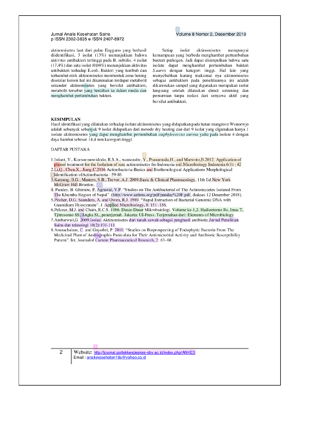#### Jurnal Analis Kesehatan Sains p ISSN 2302-3635 e ISSN 2407-8972

aktinomisetes laut dari pulau Enggano yang berhasil diidentifikasi, 3 isolat (13%) menunjukkan bahwa aktivitas antibakteri tertinggi pada B. subtilis, 4 isolat  $(17,4%)$  dan satu isolat  $(0,04%)$  menunjukkan aktivitas antibakteri terhadap E.coli. Bakteri yang tumbuh dan terhambat oleh aktinomisetes membentuk zona bening disekitar koloni hal ini dikarenakan terdapat metabolit sekunder aktinomisetes yang bersifat antibakteri, metabolit tersebut yang berdifusi ke dalam media dan menghambat pertumbuhan bakteri.

## Volume 8 Nomor 2. Desember 2019

isolat aktinomisetes Setiap mempunyai kemampuan yang berbeda menghambat pertumbuhan bakteri pathogen. Jadi dapat disimpulkan bahwa satu isolate dapat menghambat pertumbuhan bakteri S.aures dengan kategori tinggi. Hal lain yang menyebabkan kurang maksimal nya aktinomisetes sebagai antibakteri pada penelitiannya ini adalah dikarenakan sampel yang digunakan merupakan isolat langsung setelah dilakukan direct screening dan pemurnian tanpa isolasi dari senyawa aktif yang bersifat antibakteri.

## **KESIMPULAN**

Hasil identifikasi yang dilakukan terhadap isolate aktinomisetes yang didapatkan pada hutan mangrove Wonorwjo adalah sebanyak sebanyak 9 isolat didapatkan dari metode dry heating dan dari 9 isolat yang digunakan hanya 1 isolate aktinomisetes yang dapat menghambat pertumbuhan staphylococcus aureus yaitu pada isolate 4 dengan daya hambat sebesar 14,4 mm katergori tinggi

#### **DAFTAR PUSTAKA**

6 phenol treatment for the Isolation of rare actinomisetes fro Indonesia soil. Microbiology Indonesia 6(1): 42 2.Li,Q., Chen,X., Jiang,C.2016 Actinobacteria-Basics and Biothenological Applications Morphological

- 
- Identification of Actinobacteria : 59-86<br>3. Katzung, B.G., Masters, S.B., Trevor, A.J. 2009. Basic & Clinical Pharmacology, 11th Ed. New York McGraw-Hill.Brunton. 11

The Khumbu Region of Nepal". (http://www.aehms.org/pdf/panday%20F.pdf, diakses 12 Desember 2018).<br>5. Pitcher, D.G. Saunders, A. and Owen, R.J. 1989. "Rapid Extraction of Bacterial Genomic DNA with

Guanidium Thiocyanate". J. Applied Microbiology, 8: 151–156.<br>6.Pelczar, M.J. and Chain, E.C.S. 1986. Dasar-Dasar Mikrobaiologi. Volume ke-1,2. Hadioetomo Rs, Imas T,

Tjitrosomo SS, Angka SL, penerjemah. Jakarta: UI-Press. Terjemahan dari: Elements of Microbiology<br>7. Ambarwati, G. 2009 Isolasi Aktinomisetes dari tanah sawah sebagai penghasil antibiotic Jurnal Penelitian Sains dan teknologi 10(2):101-111

8. Arunachalam, C. and Gayathri, P. 2010. "Studies on Bioprospecting of Endophytic Bacteria From The Medicinal Plant of Andrographis Paniculata for Their Antimicrobial Activity and Antibiotic Susceptibility Pattern". Int. Journal of Current Pharmaceutical Research, 2: 63-68.

2

2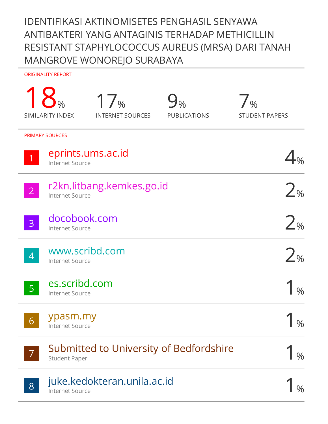# IDENTIFIKASI AKTINOMISETES PENGHASIL SENYAWA ANTIBAKTERI YANG ANTAGINIS TERHADAP METHICILLIN RESISTANT STAPHYLOCOCCUS AUREUS (MRSA) DARI TANAH MANGROVE WONOREJO SURABAYA

ORIGINALITY REPORT

|                | <b>SIMILARITY INDEX</b>                     | 17%<br><b>INTERNET SOURCES</b>          | 9 <sub>%</sub><br><b>PUBLICATIONS</b> | $\overline{\phantom{a}}$ %<br><b>STUDENT PAPERS</b> |
|----------------|---------------------------------------------|-----------------------------------------|---------------------------------------|-----------------------------------------------------|
|                | <b>PRIMARY SOURCES</b>                      |                                         |                                       |                                                     |
| $\vert$ 1      | eprints.ums.ac.id<br><b>Internet Source</b> |                                         |                                       |                                                     |
| $\overline{2}$ | <b>Internet Source</b>                      | r2kn.litbang.kemkes.go.id               |                                       | 2 <sub>%</sub>                                      |
| $\overline{3}$ | docobook.com<br><b>Internet Source</b>      |                                         |                                       | 2 <sub>%</sub>                                      |
| $\overline{4}$ | www.scribd.com<br>Internet Source           |                                         |                                       | 2 <sub>%</sub>                                      |
| 5 <sup>1</sup> | es.scribd.com<br><b>Internet Source</b>     |                                         |                                       | $\frac{0}{0}$                                       |
| 6 <sup>1</sup> | ypasm.my<br><b>Internet Source</b>          |                                         |                                       | $\%$                                                |
| $\overline{7}$ | <b>Student Paper</b>                        | Submitted to University of Bedfordshire |                                       | $\frac{0}{0}$                                       |
| 8              | <b>Internet Source</b>                      | juke.kedokteran.unila.ac.id             |                                       |                                                     |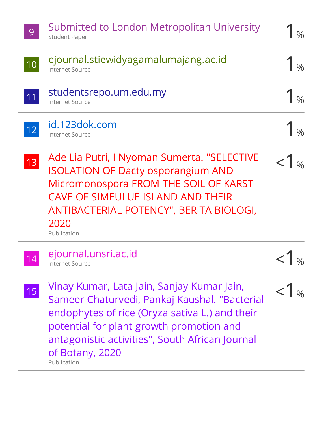| 9               | Submitted to London Metropolitan University<br><b>Student Paper</b>                                                                                                                                                                                                            | $\frac{0}{0}$    |
|-----------------|--------------------------------------------------------------------------------------------------------------------------------------------------------------------------------------------------------------------------------------------------------------------------------|------------------|
| 10              | ejournal.stiewidyagamalumajang.ac.id<br><b>Internet Source</b>                                                                                                                                                                                                                 |                  |
| 11              | studentsrepo.um.edu.my<br><b>Internet Source</b>                                                                                                                                                                                                                               |                  |
| 12              | id.123dok.com<br><b>Internet Source</b>                                                                                                                                                                                                                                        |                  |
| $\overline{13}$ | Ade Lia Putri, I Nyoman Sumerta. "SELECTIVE<br><b>ISOLATION OF Dactylosporangium AND</b><br>Micromonospora FROM THE SOIL OF KARST<br><b>CAVE OF SIMEULUE ISLAND AND THEIR</b><br>ANTIBACTERIAL POTENCY", BERITA BIOLOGI,<br>2020<br>Publication                                |                  |
| 14              | ejournal.unsri.ac.id<br><b>Internet Source</b>                                                                                                                                                                                                                                 | $\vert \gamma_0$ |
| 15              | Vinay Kumar, Lata Jain, Sanjay Kumar Jain,<br>Sameer Chaturvedi, Pankaj Kaushal. "Bacterial<br>endophytes of rice (Oryza sativa L.) and their<br>potential for plant growth promotion and<br>antagonistic activities", South African Journal<br>of Botany, 2020<br>Publication |                  |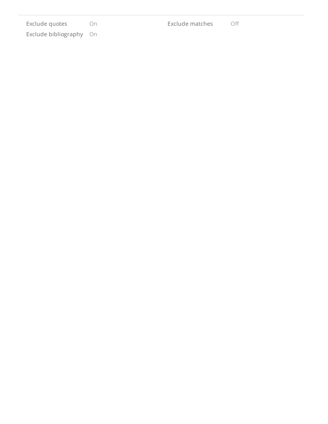| Exclude quotes |                      | ()n |
|----------------|----------------------|-----|
|                | Exclude bibliography | ()n |

Exclude matches O ff